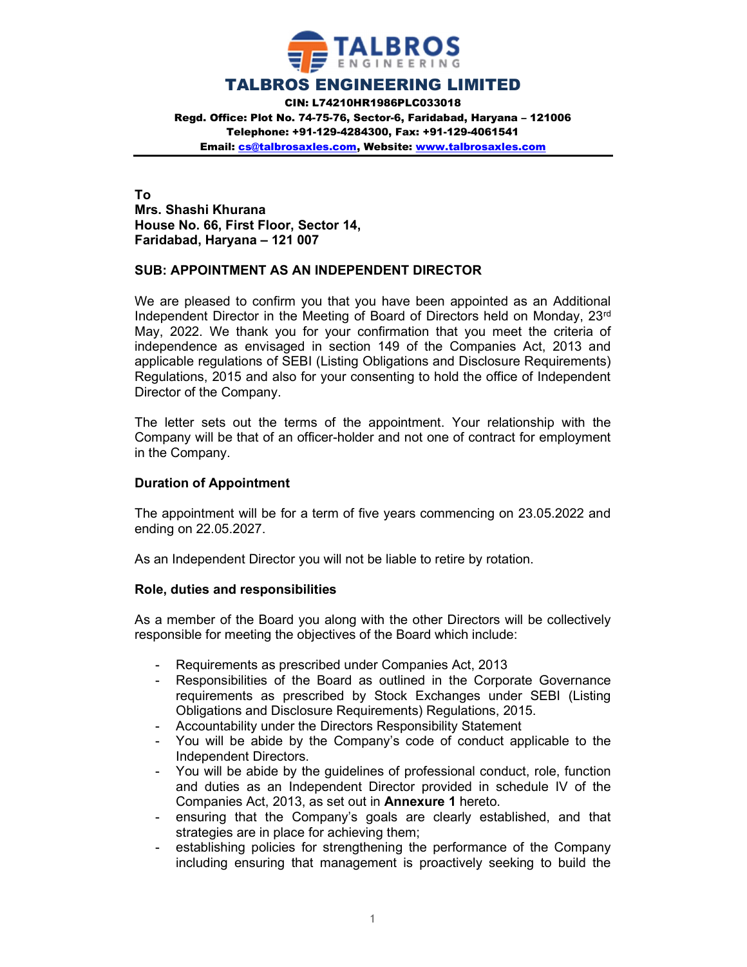

### TALBROS ENGINEERING LIMITED

CIN: L74210HR1986PLC033018 Regd. Office: Plot No. 74-75-76, Sector-6, Faridabad, Haryana – 121006 Telephone: +91-129-4284300, Fax: +91-129-4061541 Email: cs@talbrosaxles.com, Website: www.talbrosaxles.com

To Mrs. Shashi Khurana House No. 66, First Floor, Sector 14, Faridabad, Haryana – 121 007

### SUB: APPOINTMENT AS AN INDEPENDENT DIRECTOR

We are pleased to confirm you that you have been appointed as an Additional Independent Director in the Meeting of Board of Directors held on Monday, 23rd May, 2022. We thank you for your confirmation that you meet the criteria of independence as envisaged in section 149 of the Companies Act, 2013 and applicable regulations of SEBI (Listing Obligations and Disclosure Requirements) Regulations, 2015 and also for your consenting to hold the office of Independent Director of the Company.

The letter sets out the terms of the appointment. Your relationship with the Company will be that of an officer-holder and not one of contract for employment in the Company.

#### Duration of Appointment

The appointment will be for a term of five years commencing on 23.05.2022 and ending on 22.05.2027.

As an Independent Director you will not be liable to retire by rotation.

#### Role, duties and responsibilities

As a member of the Board you along with the other Directors will be collectively responsible for meeting the objectives of the Board which include:

- Requirements as prescribed under Companies Act, 2013
- Responsibilities of the Board as outlined in the Corporate Governance requirements as prescribed by Stock Exchanges under SEBI (Listing Obligations and Disclosure Requirements) Regulations, 2015.
- Accountability under the Directors Responsibility Statement
- You will be abide by the Company's code of conduct applicable to the Independent Directors.
- You will be abide by the guidelines of professional conduct, role, function and duties as an Independent Director provided in schedule IV of the Companies Act, 2013, as set out in Annexure 1 hereto.
- ensuring that the Company's goals are clearly established, and that strategies are in place for achieving them;
- establishing policies for strengthening the performance of the Company including ensuring that management is proactively seeking to build the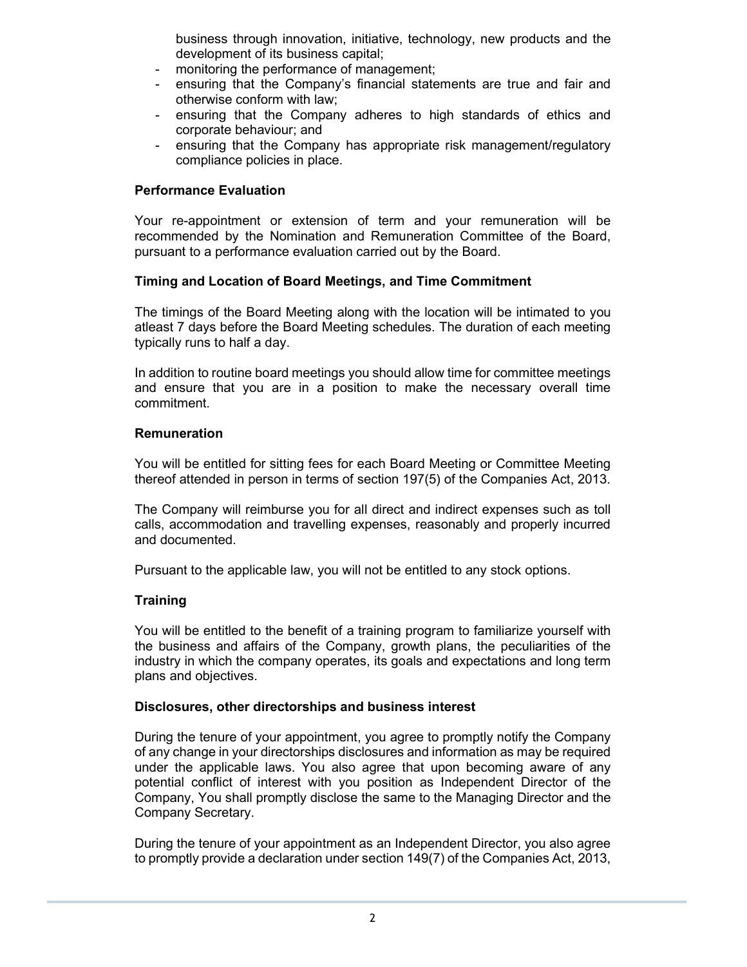business through innovation, initiative, technology, new products and the development of its business capital;

- monitoring the performance of management;
- ensuring that the Company's financial statements are true and fair and otherwise conform with law;
- ensuring that the Company adheres to high standards of ethics and corporate behaviour; and
- ensuring that the Company has appropriate risk management/regulatory compliance policies in place.

## Performance Evaluation

Your re-appointment or extension of term and your remuneration will be recommended by the Nomination and Remuneration Committee of the Board, pursuant to a performance evaluation carried out by the Board.

### Timing and Location of Board Meetings, and Time Commitment

The timings of the Board Meeting along with the location will be intimated to you atleast 7 days before the Board Meeting schedules. The duration of each meeting typically runs to half a day.

In addition to routine board meetings you should allow time for committee meetings and ensure that you are in a position to make the necessary overall time commitment.

#### Remuneration

You will be entitled for sitting fees for each Board Meeting or Committee Meeting thereof attended in person in terms of section 197(5) of the Companies Act, 2013.

The Company will reimburse you for all direct and indirect expenses such as toll calls, accommodation and travelling expenses, reasonably and properly incurred and documented.

Pursuant to the applicable law, you will not be entitled to any stock options.

## **Training**

You will be entitled to the benefit of a training program to familiarize yourself with the business and affairs of the Company, growth plans, the peculiarities of the industry in which the company operates, its goals and expectations and long term plans and objectives.

#### Disclosures, other directorships and business interest

During the tenure of your appointment, you agree to promptly notify the Company of any change in your directorships disclosures and information as may be required under the applicable laws. You also agree that upon becoming aware of any potential conflict of interest with you position as Independent Director of the Company, You shall promptly disclose the same to the Managing Director and the Company Secretary.

During the tenure of your appointment as an Independent Director, you also agree to promptly provide a declaration under section 149(7) of the Companies Act, 2013,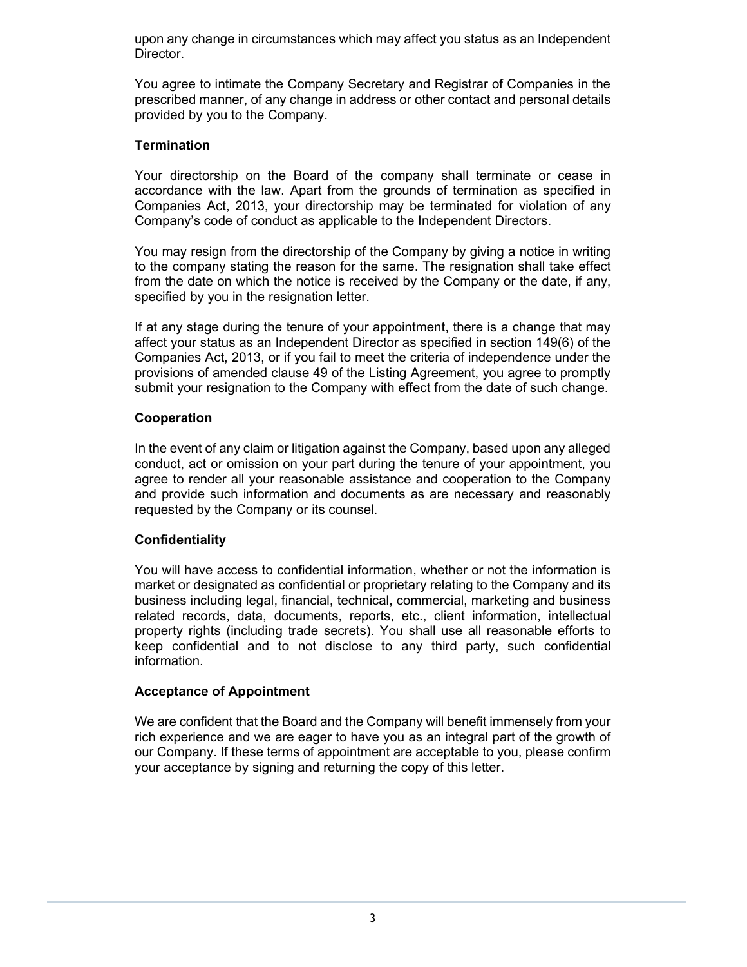upon any change in circumstances which may affect you status as an Independent Director.

You agree to intimate the Company Secretary and Registrar of Companies in the prescribed manner, of any change in address or other contact and personal details provided by you to the Company.

## **Termination**

Your directorship on the Board of the company shall terminate or cease in accordance with the law. Apart from the grounds of termination as specified in Companies Act, 2013, your directorship may be terminated for violation of any Company's code of conduct as applicable to the Independent Directors.

You may resign from the directorship of the Company by giving a notice in writing to the company stating the reason for the same. The resignation shall take effect from the date on which the notice is received by the Company or the date, if any, specified by you in the resignation letter.

If at any stage during the tenure of your appointment, there is a change that may affect your status as an Independent Director as specified in section 149(6) of the Companies Act, 2013, or if you fail to meet the criteria of independence under the provisions of amended clause 49 of the Listing Agreement, you agree to promptly submit your resignation to the Company with effect from the date of such change.

### Cooperation

In the event of any claim or litigation against the Company, based upon any alleged conduct, act or omission on your part during the tenure of your appointment, you agree to render all your reasonable assistance and cooperation to the Company and provide such information and documents as are necessary and reasonably requested by the Company or its counsel.

## Confidentiality

You will have access to confidential information, whether or not the information is market or designated as confidential or proprietary relating to the Company and its business including legal, financial, technical, commercial, marketing and business related records, data, documents, reports, etc., client information, intellectual property rights (including trade secrets). You shall use all reasonable efforts to keep confidential and to not disclose to any third party, such confidential information.

#### Acceptance of Appointment

We are confident that the Board and the Company will benefit immensely from your rich experience and we are eager to have you as an integral part of the growth of our Company. If these terms of appointment are acceptable to you, please confirm your acceptance by signing and returning the copy of this letter.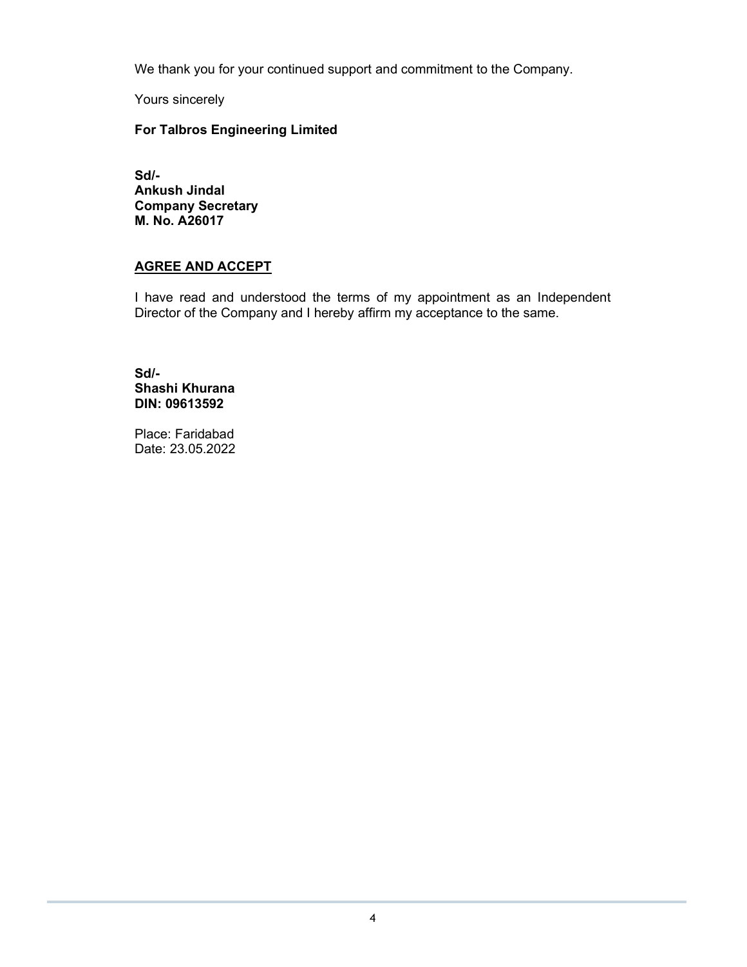We thank you for your continued support and commitment to the Company.

Yours sincerely

## For Talbros Engineering Limited

Sd/- Ankush Jindal Company Secretary M. No. A26017

# AGREE AND ACCEPT

I have read and understood the terms of my appointment as an Independent Director of the Company and I hereby affirm my acceptance to the same.

Sd/- Shashi Khurana DIN: 09613592

Place: Faridabad Date: 23.05.2022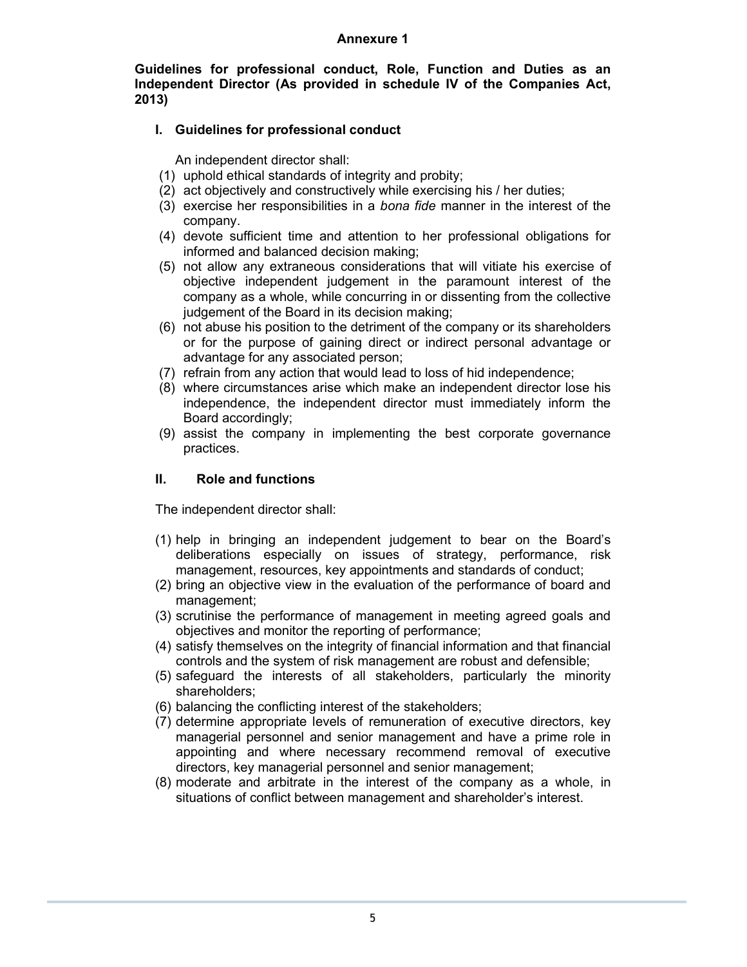#### Annexure 1

Guidelines for professional conduct, Role, Function and Duties as an Independent Director (As provided in schedule IV of the Companies Act, 2013)

# I. Guidelines for professional conduct

An independent director shall:

- (1) uphold ethical standards of integrity and probity;
- (2) act objectively and constructively while exercising his / her duties;
- (3) exercise her responsibilities in a bona fide manner in the interest of the company.
- (4) devote sufficient time and attention to her professional obligations for informed and balanced decision making;
- (5) not allow any extraneous considerations that will vitiate his exercise of objective independent judgement in the paramount interest of the company as a whole, while concurring in or dissenting from the collective judgement of the Board in its decision making:
- (6) not abuse his position to the detriment of the company or its shareholders or for the purpose of gaining direct or indirect personal advantage or advantage for any associated person;
- (7) refrain from any action that would lead to loss of hid independence;
- (8) where circumstances arise which make an independent director lose his independence, the independent director must immediately inform the Board accordingly;
- (9) assist the company in implementing the best corporate governance practices.

## II. Role and functions

The independent director shall:

- (1) help in bringing an independent judgement to bear on the Board's deliberations especially on issues of strategy, performance, risk management, resources, key appointments and standards of conduct;
- (2) bring an objective view in the evaluation of the performance of board and management;
- (3) scrutinise the performance of management in meeting agreed goals and objectives and monitor the reporting of performance;
- (4) satisfy themselves on the integrity of financial information and that financial controls and the system of risk management are robust and defensible;
- (5) safeguard the interests of all stakeholders, particularly the minority shareholders;
- (6) balancing the conflicting interest of the stakeholders;
- (7) determine appropriate levels of remuneration of executive directors, key managerial personnel and senior management and have a prime role in appointing and where necessary recommend removal of executive directors, key managerial personnel and senior management;
- (8) moderate and arbitrate in the interest of the company as a whole, in situations of conflict between management and shareholder's interest.